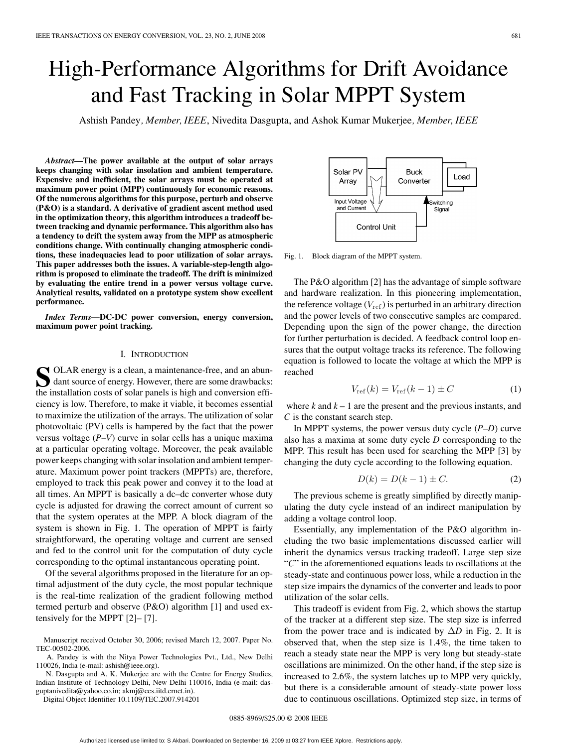# High-Performance Algorithms for Drift Avoidance and Fast Tracking in Solar MPPT System

Ashish Pandey*, Member, IEEE*, Nivedita Dasgupta, and Ashok Kumar Mukerjee*, Member, IEEE*

*Abstract***—The power available at the output of solar arrays keeps changing with solar insolation and ambient temperature. Expensive and inefficient, the solar arrays must be operated at maximum power point (MPP) continuously for economic reasons. Of the numerous algorithms for this purpose, perturb and observe (P&O) is a standard. A derivative of gradient ascent method used in the optimization theory, this algorithm introduces a tradeoff between tracking and dynamic performance. This algorithm also has a tendency to drift the system away from the MPP as atmospheric conditions change. With continually changing atmospheric conditions, these inadequacies lead to poor utilization of solar arrays. This paper addresses both the issues. A variable-step-length algorithm is proposed to eliminate the tradeoff. The drift is minimized by evaluating the entire trend in a power versus voltage curve. Analytical results, validated on a prototype system show excellent performance.**

*Index Terms***—DC-DC power conversion, energy conversion, maximum power point tracking.**

#### I. INTRODUCTION

**S** OLAR energy is a clean, a maintenance-free, and an abundant source of energy. However, there are some drawbacks: the installation costs of solar panels is high and conversion efficiency is low. Therefore, to make it viable, it becomes essential to maximize the utilization of the arrays. The utilization of solar photovoltaic (PV) cells is hampered by the fact that the power versus voltage (*P–V*) curve in solar cells has a unique maxima at a particular operating voltage. Moreover, the peak available power keeps changing with solar insolation and ambient temperature. Maximum power point trackers (MPPTs) are, therefore, employed to track this peak power and convey it to the load at all times. An MPPT is basically a dc–dc converter whose duty cycle is adjusted for drawing the correct amount of current so that the system operates at the MPP. A block diagram of the system is shown in Fig. 1. The operation of MPPT is fairly straightforward, the operating voltage and current are sensed and fed to the control unit for the computation of duty cycle corresponding to the optimal instantaneous operating point.

Of the several algorithms proposed in the literature for an optimal adjustment of the duty cycle, the most popular technique is the real-time realization of the gradient following method termed perturb and observe (P&O) algorithm [1] and used extensively for the MPPT [2]– [7].

A. Pandey is with the Nitya Power Technologies Pvt., Ltd., New Delhi 110026, India (e-mail: ashish@ieee.org).

N. Dasgupta and A. K. Mukerjee are with the Centre for Energy Studies, Indian Institute of Technology Delhi, New Delhi 110016, India (e-mail: dasguptanivedita@yahoo.co.in; akmj@ces.iitd.ernet.in).

Digital Object Identifier 10.1109/TEC.2007.914201

Solar PV **Buck** Load Converter Array Input Voltage Switching and Current Signal **Control Unit** 

Fig. 1. Block diagram of the MPPT system.

The P&O algorithm [2] has the advantage of simple software and hardware realization. In this pioneering implementation, the reference voltage  $(V_{ref})$  is perturbed in an arbitrary direction and the power levels of two consecutive samples are compared. Depending upon the sign of the power change, the direction for further perturbation is decided. A feedback control loop ensures that the output voltage tracks its reference. The following equation is followed to locate the voltage at which the MPP is reached

$$
V_{\text{ref}}(k) = V_{\text{ref}}(k-1) \pm C \tag{1}
$$

where  $k$  and  $k - 1$  are the present and the previous instants, and *C* is the constant search step.

In MPPT systems, the power versus duty cycle (*P–D*) curve also has a maxima at some duty cycle *D* corresponding to the MPP. This result has been used for searching the MPP [3] by changing the duty cycle according to the following equation.

$$
D(k) = D(k-1) \pm C.
$$
 (2)

The previous scheme is greatly simplified by directly manipulating the duty cycle instead of an indirect manipulation by adding a voltage control loop.

Essentially, any implementation of the P&O algorithm including the two basic implementations discussed earlier will inherit the dynamics versus tracking tradeoff. Large step size "*C*" in the aforementioned equations leads to oscillations at the steady-state and continuous power loss, while a reduction in the step size impairs the dynamics of the converter and leads to poor utilization of the solar cells.

This tradeoff is evident from Fig. 2, which shows the startup of the tracker at a different step size. The step size is inferred from the power trace and is indicated by ∆*D* in Fig. 2. It is observed that, when the step size is 1.4%, the time taken to reach a steady state near the MPP is very long but steady-state oscillations are minimized. On the other hand, if the step size is increased to 2.6%, the system latches up to MPP very quickly, but there is a considerable amount of steady-state power loss due to continuous oscillations. Optimized step size, in terms of

Manuscript received October 30, 2006; revised March 12, 2007. Paper No. TEC-00502-2006.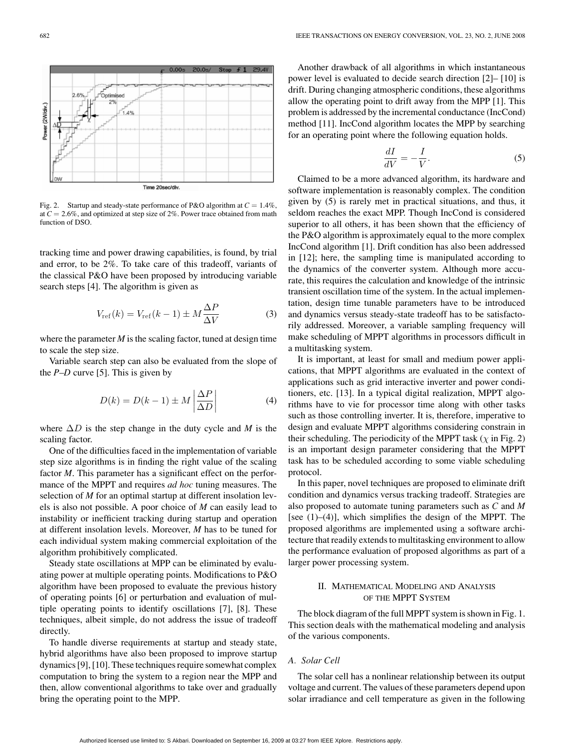

Fig. 2. Startup and steady-state performance of P&O algorithm at *C* = 1.4%, at *C* = 2.6%, and optimized at step size of 2%. Power trace obtained from math function of DSO.

tracking time and power drawing capabilities, is found, by trial and error, to be 2%. To take care of this tradeoff, variants of the classical P&O have been proposed by introducing variable search steps [4]. The algorithm is given as

$$
V_{\text{ref}}(k) = V_{\text{ref}}(k-1) \pm M \frac{\Delta P}{\Delta V}
$$
 (3)

where the parameter *M* is the scaling factor, tuned at design time to scale the step size.

Variable search step can also be evaluated from the slope of the *P*–*D* curve [5]. This is given by

$$
D(k) = D(k-1) \pm M \left| \frac{\Delta P}{\Delta D} \right| \tag{4}
$$

where ∆D is the step change in the duty cycle and *M* is the scaling factor.

One of the difficulties faced in the implementation of variable step size algorithms is in finding the right value of the scaling factor *M*. This parameter has a significant effect on the performance of the MPPT and requires *ad hoc* tuning measures. The selection of *M* for an optimal startup at different insolation levels is also not possible. A poor choice of *M* can easily lead to instability or inefficient tracking during startup and operation at different insolation levels. Moreover, *M* has to be tuned for each individual system making commercial exploitation of the algorithm prohibitively complicated.

Steady state oscillations at MPP can be eliminated by evaluating power at multiple operating points. Modifications to P&O algorithm have been proposed to evaluate the previous history of operating points [6] or perturbation and evaluation of multiple operating points to identify oscillations [7], [8]. These techniques, albeit simple, do not address the issue of tradeoff directly.

To handle diverse requirements at startup and steady state, hybrid algorithms have also been proposed to improve startup dynamics [9], [10]. These techniques require somewhat complex computation to bring the system to a region near the MPP and then, allow conventional algorithms to take over and gradually bring the operating point to the MPP.

Another drawback of all algorithms in which instantaneous power level is evaluated to decide search direction [2]– [10] is drift. During changing atmospheric conditions, these algorithms allow the operating point to drift away from the MPP [1]. This problem is addressed by the incremental conductance (IncCond) method [11]. IncCond algorithm locates the MPP by searching for an operating point where the following equation holds.

$$
\frac{dI}{dV} = -\frac{I}{V}.\tag{5}
$$

Claimed to be a more advanced algorithm, its hardware and software implementation is reasonably complex. The condition given by (5) is rarely met in practical situations, and thus, it seldom reaches the exact MPP. Though IncCond is considered superior to all others, it has been shown that the efficiency of the P&O algorithm is approximately equal to the more complex IncCond algorithm [1]. Drift condition has also been addressed in [12]; here, the sampling time is manipulated according to the dynamics of the converter system. Although more accurate, this requires the calculation and knowledge of the intrinsic transient oscillation time of the system. In the actual implementation, design time tunable parameters have to be introduced and dynamics versus steady-state tradeoff has to be satisfactorily addressed. Moreover, a variable sampling frequency will make scheduling of MPPT algorithms in processors difficult in a multitasking system.

It is important, at least for small and medium power applications, that MPPT algorithms are evaluated in the context of applications such as grid interactive inverter and power conditioners, etc. [13]. In a typical digital realization, MPPT algorithms have to vie for processor time along with other tasks such as those controlling inverter. It is, therefore, imperative to design and evaluate MPPT algorithms considering constrain in their scheduling. The periodicity of the MPPT task ( $\chi$  in Fig. 2) is an important design parameter considering that the MPPT task has to be scheduled according to some viable scheduling protocol.

In this paper, novel techniques are proposed to eliminate drift condition and dynamics versus tracking tradeoff. Strategies are also proposed to automate tuning parameters such as *C* and *M* [see  $(1)$ – $(4)$ ], which simplifies the design of the MPPT. The proposed algorithms are implemented using a software architecture that readily extends to multitasking environment to allow the performance evaluation of proposed algorithms as part of a larger power processing system.

# II. MATHEMATICAL MODELING AND ANALYSIS OF THE MPPT SYSTEM

The block diagram of the full MPPT system is shown in Fig. 1. This section deals with the mathematical modeling and analysis of the various components.

## *A. Solar Cell*

The solar cell has a nonlinear relationship between its output voltage and current. The values of these parameters depend upon solar irradiance and cell temperature as given in the following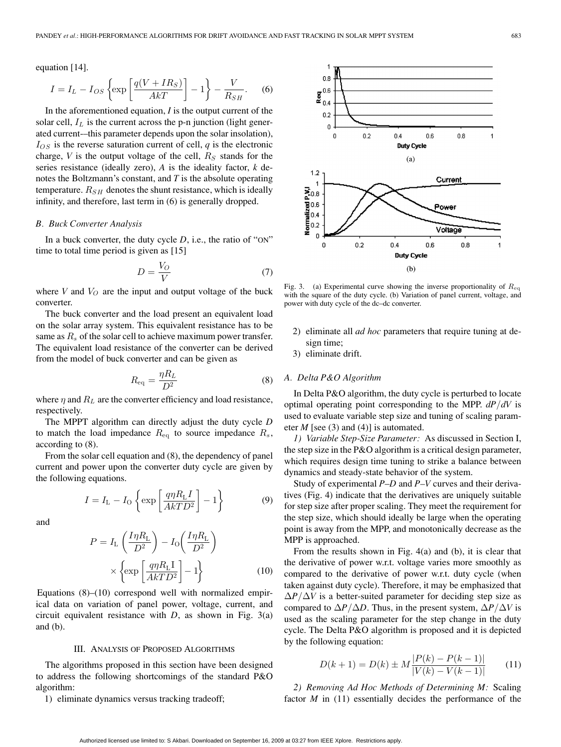equation [14].

$$
I = I_L - I_{OS} \left\{ \exp\left[\frac{q(V + IR_S)}{AkT}\right] - 1\right\} - \frac{V}{R_{SH}}.
$$
 (6)

In the aforementioned equation, *I* is the output current of the solar cell,  $I_L$  is the current across the p-n junction (light generated current-–this parameter depends upon the solar insolation),  $I_{OS}$  is the reverse saturation current of cell,  $q$  is the electronic charge,  $V$  is the output voltage of the cell,  $R<sub>S</sub>$  stands for the series resistance (ideally zero), *A* is the ideality factor, *k* denotes the Boltzmann's constant, and *T* is the absolute operating temperature.  $R_{SH}$  denotes the shunt resistance, which is ideally infinity, and therefore, last term in (6) is generally dropped.

### *B. Buck Converter Analysis*

In a buck converter, the duty cycle *D*, i.e., the ratio of "ON" time to total time period is given as [15]

$$
D = \frac{V_O}{V} \tag{7}
$$

where *V* and  $V<sub>O</sub>$  are the input and output voltage of the buck converter.

The buck converter and the load present an equivalent load on the solar array system. This equivalent resistance has to be same as  $R_s$  of the solar cell to achieve maximum power transfer. The equivalent load resistance of the converter can be derived from the model of buck converter and can be given as

$$
R_{\text{eq}} = \frac{\eta R_L}{D^2} \tag{8}
$$

where  $\eta$  and  $R_L$  are the converter efficiency and load resistance, respectively.

The MPPT algorithm can directly adjust the duty cycle *D* to match the load impedance  $R_{eq}$  to source impedance  $R_s$ , according to (8).

From the solar cell equation and (8), the dependency of panel current and power upon the converter duty cycle are given by the following equations.

$$
I = I_{\rm L} - I_0 \left\{ \exp \left[ \frac{q \eta R_{\rm L} I}{A k T D^2} \right] - 1 \right\} \tag{9}
$$

and

$$
P = I_{\rm L} \left( \frac{I \eta R_{\rm L}}{D^2} \right) - I_0 \left( \frac{I \eta R_{\rm L}}{D^2} \right)
$$

$$
\times \left\{ \exp \left[ \frac{q \eta R_{\rm L} I}{A k T D^2} \right] - 1 \right\} \tag{10}
$$

Equations (8)–(10) correspond well with normalized empirical data on variation of panel power, voltage, current, and circuit equivalent resistance with *D*, as shown in Fig. 3(a) and (b).

#### III. ANALYSIS OF PROPOSED ALGORITHMS

The algorithms proposed in this section have been designed to address the following shortcomings of the standard P&O algorithm:

1) eliminate dynamics versus tracking tradeoff;



Fig. 3. (a) Experimental curve showing the inverse proportionality of  $R_{\text{eq}}$ with the square of the duty cycle. (b) Variation of panel current, voltage, and power with duty cycle of the dc–dc converter.

- 2) eliminate all *ad hoc* parameters that require tuning at design time;
- 3) eliminate drift.

## *A. Delta P&O Algorithm*

In Delta P&O algorithm, the duty cycle is perturbed to locate optimal operating point corresponding to the MPP. *dP*/*dV* is used to evaluate variable step size and tuning of scaling parameter  $M$  [see (3) and (4)] is automated.

*1) Variable Step-Size Parameter:* As discussed in Section I, the step size in the P&O algorithm is a critical design parameter, which requires design time tuning to strike a balance between dynamics and steady-state behavior of the system.

Study of experimental *P*–*D* and *P–V* curves and their derivatives (Fig. 4) indicate that the derivatives are uniquely suitable for step size after proper scaling. They meet the requirement for the step size, which should ideally be large when the operating point is away from the MPP, and monotonically decrease as the MPP is approached.

From the results shown in Fig. 4(a) and (b), it is clear that the derivative of power w.r.t. voltage varies more smoothly as compared to the derivative of power w.r.t. duty cycle (when taken against duty cycle). Therefore, it may be emphasized that ∆*P*/∆*V* is a better-suited parameter for deciding step size as compared to  $\Delta P/\Delta D$ . Thus, in the present system,  $\Delta P/\Delta V$  is used as the scaling parameter for the step change in the duty cycle. The Delta P&O algorithm is proposed and it is depicted by the following equation:

$$
D(k+1) = D(k) \pm M \frac{|P(k) - P(k-1)|}{|V(k) - V(k-1)|} \tag{11}
$$

*2) Removing Ad Hoc Methods of Determining M:* Scaling factor *M* in (11) essentially decides the performance of the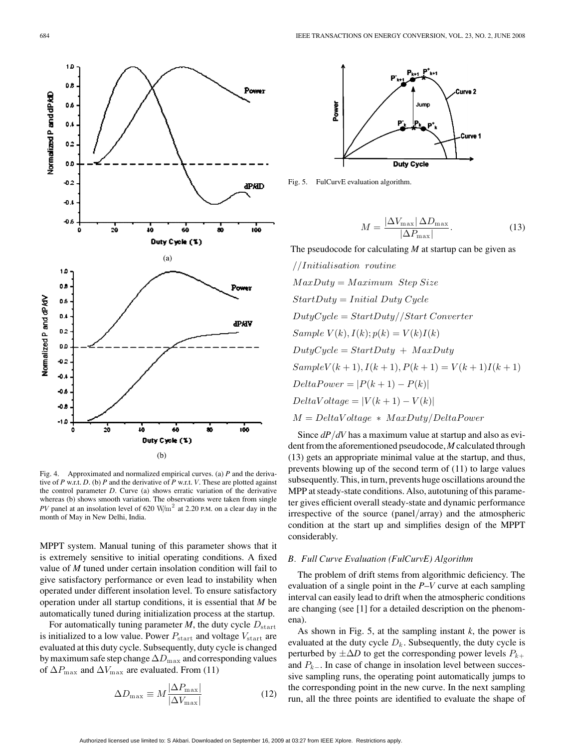

Fig. 4. Approximated and normalized empirical curves. (a) *P* and the derivative of *P* w.r.t. *D*. (b) *P* and the derivative of *P* w.r.t. *V*. These are plotted against the control parameter *D*. Curve (a) shows erratic variation of the derivative whereas (b) shows smooth variation. The observations were taken from single *PV* panel at an insolation level of 620  $\text{W/m}^2$  at 2.20 P.M. on a clear day in the month of May in New Delhi, India.

MPPT system. Manual tuning of this parameter shows that it is extremely sensitive to initial operating conditions. A fixed value of *M* tuned under certain insolation condition will fail to give satisfactory performance or even lead to instability when operated under different insolation level. To ensure satisfactory operation under all startup conditions, it is essential that *M* be automatically tuned during initialization process at the startup.

For automatically tuning parameter  $M$ , the duty cycle  $D_{\text{start}}$ is initialized to a low value. Power  $P_{\text{start}}$  and voltage  $V_{\text{start}}$  are evaluated at this duty cycle. Subsequently, duty cycle is changed by maximum safe step change  $\Delta D_{\text{max}}$  and corresponding values of  $\Delta P_{\text{max}}$  and  $\Delta V_{\text{max}}$  are evaluated. From (11)

$$
\Delta D_{\text{max}} \equiv M \frac{|\Delta P_{\text{max}}|}{|\Delta V_{\text{max}}|} \tag{12}
$$



Fig. 5. FulCurvE evaluation algorithm.

$$
M = \frac{|\Delta V_{\text{max}}| \Delta D_{\text{max}}}{|\Delta P_{\text{max}}|}.
$$
 (13)

The pseudocode for calculating *M* at startup can be given as

//Initialisation routine  $MaxDuty = Maximum$  Step Size  $StartDuty = Initial Duty Cycle$  $DutyCycle = StartDuty//Start Convert$ Sample  $V(k)$ ,  $I(k)$ ;  $p(k) = V(k)I(k)$  $DutyCycle = StartDuty + MaxDuty$  $SampleV(k+1), I(k+1), P(k+1) = V(k+1)I(k+1)$  $Delta Power = |P(k + 1) - P(k)|$  $DeltaVoltaq e = |V(k+1) - V(k)|$  $M = DeltaVoltage * MaxDuty/Delta Power$ 

Since *dP*/*dV* has a maximum value at startup and also as evident from the aforementioned pseudocode, *M* calculated through (13) gets an appropriate minimal value at the startup, and thus, prevents blowing up of the second term of (11) to large values subsequently. This, in turn, prevents huge oscillations around the MPP at steady-state conditions. Also, autotuning of this parameter gives efficient overall steady-state and dynamic performance irrespective of the source (panel/array) and the atmospheric condition at the start up and simplifies design of the MPPT considerably.

## *B. Full Curve Evaluation (FulCurvE) Algorithm*

The problem of drift stems from algorithmic deficiency. The evaluation of a single point in the *P*–*V* curve at each sampling interval can easily lead to drift when the atmospheric conditions are changing (see [1] for a detailed description on the phenomena).

As shown in Fig. 5, at the sampling instant *k*, the power is evaluated at the duty cycle  $D_k$ . Subsequently, the duty cycle is perturbed by  $\pm \Delta D$  to get the corresponding power levels  $P_{k+1}$ and  $P_{k-}$ . In case of change in insolation level between successive sampling runs, the operating point automatically jumps to the corresponding point in the new curve. In the next sampling run, all the three points are identified to evaluate the shape of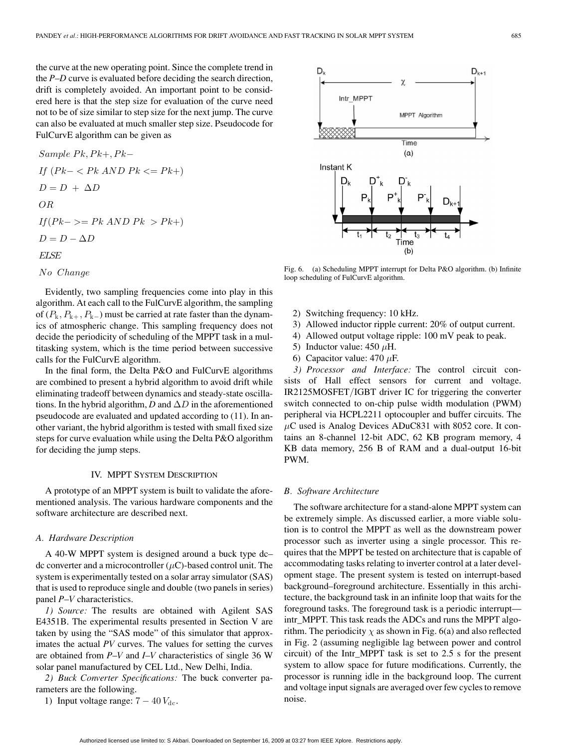the curve at the new operating point. Since the complete trend in the *P*–*D* curve is evaluated before deciding the search direction, drift is completely avoided. An important point to be considered here is that the step size for evaluation of the curve need not to be of size similar to step size for the next jump. The curve can also be evaluated at much smaller step size. Pseudocode for FulCurvE algorithm can be given as

Sample 
$$
Pk, Pk+, Pk-
$$

\nIf  $(Pk - < Pk \ AND \ Pk <= Pk+)$ 

\n $D = D + \Delta D$ 

\nOR

\nIf  $(Pk - >= Pk \ AND \ Pk > Pk+)$ 

\n $D = D - \Delta D$ 

\nELSE

\nNo Change

Evidently, two sampling frequencies come into play in this algorithm. At each call to the FulCurvE algorithm, the sampling of  $(P_k, P_{k+}, P_{k-})$  must be carried at rate faster than the dynamics of atmospheric change. This sampling frequency does not decide the periodicity of scheduling of the MPPT task in a multitasking system, which is the time period between successive calls for the FulCurvE algorithm.

In the final form, the Delta P&O and FulCurvE algorithms are combined to present a hybrid algorithm to avoid drift while eliminating tradeoff between dynamics and steady-state oscillations. In the hybrid algorithm, *D* and  $\Delta D$  in the aforementioned pseudocode are evaluated and updated according to (11). In another variant, the hybrid algorithm is tested with small fixed size steps for curve evaluation while using the Delta P&O algorithm for deciding the jump steps.

#### IV. MPPT SYSTEM DESCRIPTION

A prototype of an MPPT system is built to validate the aforementioned analysis. The various hardware components and the software architecture are described next.

## *A. Hardware Description*

A 40-W MPPT system is designed around a buck type dc– dc converter and a microcontroller  $(\mu C)$ -based control unit. The system is experimentally tested on a solar array simulator (SAS) that is used to reproduce single and double (two panels in series) panel *P*–*V* characteristics.

*1) Source:* The results are obtained with Agilent SAS E4351B. The experimental results presented in Section V are taken by using the "SAS mode" of this simulator that approximates the actual *PV* curves. The values for setting the curves are obtained from *P*–*V* and *I*–*V* characteristics of single 36 W solar panel manufactured by CEL Ltd., New Delhi, India.

*2) Buck Converter Specifications:* The buck converter parameters are the following.

1) Input voltage range:  $7 - 40 V_{dc}$ .



Fig. 6. (a) Scheduling MPPT interrupt for Delta P&O algorithm. (b) Infinite loop scheduling of FulCurvE algorithm.

- 2) Switching frequency: 10 kHz.
- 3) Allowed inductor ripple current: 20% of output current.
- 4) Allowed output voltage ripple: 100 mV peak to peak.
- 5) Inductor value:  $450 \mu H$ .
- 6) Capacitor value: 470  $\mu$ F.

*3) Processor and Interface:* The control circuit consists of Hall effect sensors for current and voltage. IR2125MOSFET/IGBT driver IC for triggering the converter switch connected to on-chip pulse width modulation (PWM) peripheral via HCPL2211 optocoupler and buffer circuits. The  $\mu$ C used is Analog Devices ADuC831 with 8052 core. It contains an 8-channel 12-bit ADC, 62 KB program memory, 4 KB data memory, 256 B of RAM and a dual-output 16-bit PWM.

## *B. Software Architecture*

The software architecture for a stand-alone MPPT system can be extremely simple. As discussed earlier, a more viable solution is to control the MPPT as well as the downstream power processor such as inverter using a single processor. This requires that the MPPT be tested on architecture that is capable of accommodating tasks relating to inverter control at a later development stage. The present system is tested on interrupt-based background–foreground architecture. Essentially in this architecture, the background task in an infinite loop that waits for the foreground tasks. The foreground task is a periodic interrupt intr\_MPPT. This task reads the ADCs and runs the MPPT algorithm. The periodicity  $\chi$  as shown in Fig. 6(a) and also reflected in Fig. 2 (assuming negligible lag between power and control circuit) of the Intr\_MPPT task is set to 2.5 s for the present system to allow space for future modifications. Currently, the processor is running idle in the background loop. The current and voltage input signals are averaged over few cycles to remove noise.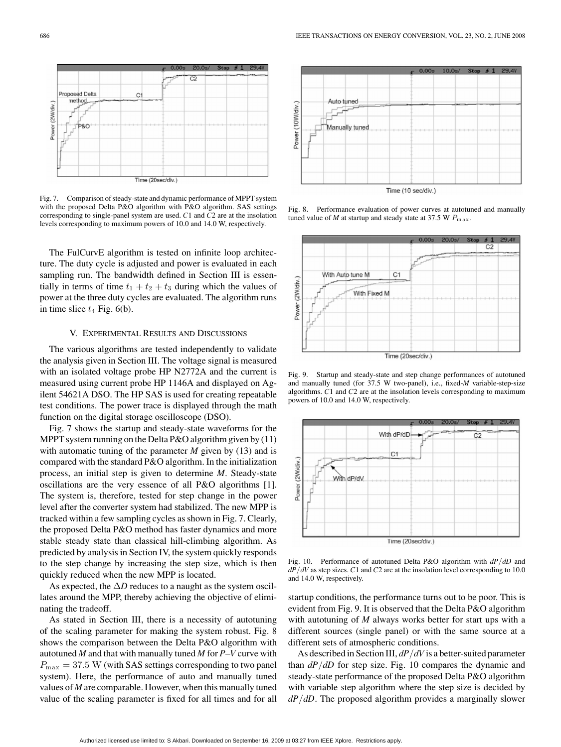

Fig. 7. Comparison of steady-state and dynamic performance of MPPT system with the proposed Delta P&O algorithm with P&O algorithm. SAS settings corresponding to single-panel system are used. *C*1 and *C*2 are at the insolation levels corresponding to maximum powers of 10.0 and 14.0 W, respectively.

The FulCurvE algorithm is tested on infinite loop architecture. The duty cycle is adjusted and power is evaluated in each sampling run. The bandwidth defined in Section III is essentially in terms of time  $t_1 + t_2 + t_3$  during which the values of power at the three duty cycles are evaluated. The algorithm runs in time slice  $t_4$  Fig. 6(b).

## V. EXPERIMENTAL RESULTS AND DISCUSSIONS

The various algorithms are tested independently to validate the analysis given in Section III. The voltage signal is measured with an isolated voltage probe HP N2772A and the current is measured using current probe HP 1146A and displayed on Agilent 54621A DSO. The HP SAS is used for creating repeatable test conditions. The power trace is displayed through the math function on the digital storage oscilloscope (DSO).

Fig. 7 shows the startup and steady-state waveforms for the MPPT system running on the Delta P&O algorithm given by (11) with automatic tuning of the parameter *M* given by (13) and is compared with the standard P&O algorithm. In the initialization process, an initial step is given to determine *M*. Steady-state oscillations are the very essence of all P&O algorithms [1]. The system is, therefore, tested for step change in the power level after the converter system had stabilized. The new MPP is tracked within a few sampling cycles as shown in Fig. 7. Clearly, the proposed Delta P&O method has faster dynamics and more stable steady state than classical hill-climbing algorithm. As predicted by analysis in Section IV, the system quickly responds to the step change by increasing the step size, which is then quickly reduced when the new MPP is located.

As expected, the ∆*D* reduces to a naught as the system oscillates around the MPP, thereby achieving the objective of eliminating the tradeoff.

As stated in Section III, there is a necessity of autotuning of the scaling parameter for making the system robust. Fig. 8 shows the comparison between the Delta P&O algorithm with autotuned *M* and that with manually tuned *M* for *P*–*V* curve with  $P_{\text{max}} = 37.5 \text{ W}$  (with SAS settings corresponding to two panel system). Here, the performance of auto and manually tuned values of *M* are comparable. However, when this manually tuned value of the scaling parameter is fixed for all times and for all



Fig. 8. Performance evaluation of power curves at autotuned and manually tuned value of  $M$  at startup and steady state at 37.5 W  $P_{\text{max}}$ .



Fig. 9. Startup and steady-state and step change performances of autotuned and manually tuned (for 37.5 W two-panel), i.e., fixed-*M* variable-step-size algorithms. *C*1 and *C*2 are at the insolation levels corresponding to maximum powers of 10.0 and 14.0 W, respectively.



Fig. 10. Performance of autotuned Delta P&O algorithm with *dP*/*dD* and *dP*/*dV* as step sizes. *C*1 and *C*2 are at the insolation level corresponding to 10.0 and 14.0 W, respectively.

startup conditions, the performance turns out to be poor. This is evident from Fig. 9. It is observed that the Delta P&O algorithm with autotuning of *M* always works better for start ups with a different sources (single panel) or with the same source at a different sets of atmospheric conditions.

As described in Section III, *dP*/*dV* is a better-suited parameter than *dP*/*dD* for step size. Fig. 10 compares the dynamic and steady-state performance of the proposed Delta P&O algorithm with variable step algorithm where the step size is decided by *dP*/*dD*. The proposed algorithm provides a marginally slower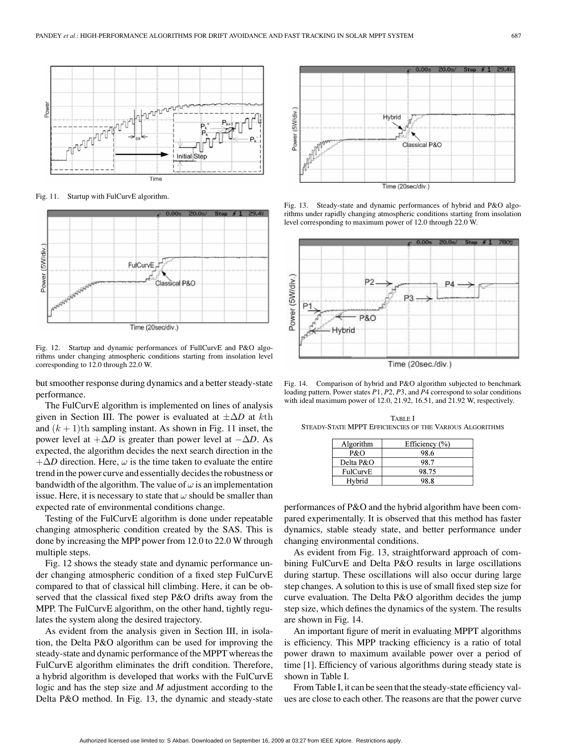

Fig. 11. Startup with FulCurvE algorithm.



Fig. 12. Startup and dynamic performances of FullCurvE and P&O algorithms under changing atmospheric conditions starting from insolation level corresponding to 12.0 through 22.0 W.

but smoother response during dynamics and a better steady-state performance.

The FulCurvE algorithm is implemented on lines of analysis given in Section III. The power is evaluated at ±∆*D* at kth and  $(k + 1)$ th sampling instant. As shown in Fig. 11 inset, the power level at  $+\Delta D$  is greater than power level at  $-\Delta D$ . As expected, the algorithm decides the next search direction in the  $+\Delta D$  direction. Here,  $\omega$  is the time taken to evaluate the entire trend in the power curve and essentially decides the robustness or bandwidth of the algorithm. The value of  $\omega$  is an implementation issue. Here, it is necessary to state that  $\omega$  should be smaller than expected rate of environmental conditions change.

Testing of the FulCurvE algorithm is done under repeatable changing atmospheric condition created by the SAS. This is done by increasing the MPP power from 12.0 to 22.0 W through multiple steps.

Fig. 12 shows the steady state and dynamic performance under changing atmospheric condition of a fixed step FulCurvE compared to that of classical hill climbing. Here, it can be observed that the classical fixed step P&O drifts away from the MPP. The FulCurvE algorithm, on the other hand, tightly regulates the system along the desired trajectory.

As evident from the analysis given in Section III, in isolation, the Delta P&O algorithm can be used for improving the steady-state and dynamic performance of the MPPT whereas the FulCurvE algorithm eliminates the drift condition. Therefore, a hybrid algorithm is developed that works with the FulCurvE logic and has the step size and *M* adjustment according to the Delta P&O method. In Fig. 13, the dynamic and steady-state



Fig. 13. Steady-state and dynamic performances of hybrid and P&O algorithms under rapidly changing atmospheric conditions starting from insolation level corresponding to maximum power of 12.0 through 22.0 W.



Fig. 14. Comparison of hybrid and P&O algorithm subjected to benchmark loading pattern. Power states *P*1, *P*2, *P*3, and *P*4 correspond to solar conditions with ideal maximum power of 12.0, 21.92, 16.51, and 21.92 W, respectively.

TABLE I STEADY-STATE MPPT EFFICIENCIES OF THE VARIOUS ALGORITHMS

| Algorithm | Efficiency $(\% )$ |
|-----------|--------------------|
| P&O       | 98.6               |
| Delta P&O | 98.7               |
| FulCurvE  | 98.75              |
| Hybrid    | 98.8               |

performances of P&O and the hybrid algorithm have been compared experimentally. It is observed that this method has faster dynamics, stable steady state, and better performance under changing environmental conditions.

As evident from Fig. 13, straightforward approach of combining FulCurvE and Delta P&O results in large oscillations during startup. These oscillations will also occur during large step changes. A solution to this is use of small fixed step size for curve evaluation. The Delta P&O algorithm decides the jump step size, which defines the dynamics of the system. The results are shown in Fig. 14.

An important figure of merit in evaluating MPPT algorithms is efficiency. This MPP tracking efficiency is a ratio of total power drawn to maximum available power over a period of time [1]. Efficiency of various algorithms during steady state is shown in Table I.

From Table I, it can be seen that the steady-state efficiency values are close to each other. The reasons are that the power curve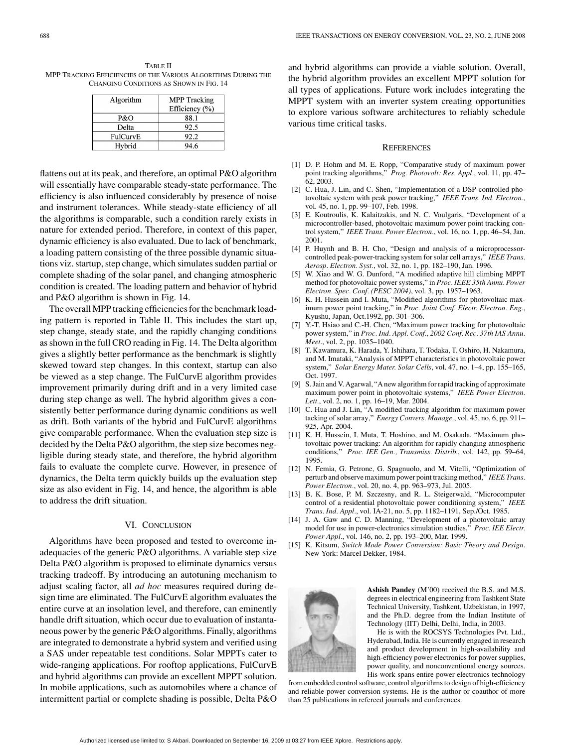TABLE II MPP TRACKING EFFICIENCIES OF THE VARIOUS ALGORITHMS DURING THE CHANGING CONDITIONS AS SHOWN IN FIG. 14

| Algorithm | <b>MPP</b> Tracking<br>Efficiency $(\% )$ |
|-----------|-------------------------------------------|
| P&O       | 88.1                                      |
| Delta     | 92.5                                      |
| FulCurvE  | 92.2                                      |
| Hybrid    | 94 6                                      |

flattens out at its peak, and therefore, an optimal P&O algorithm will essentially have comparable steady-state performance. The efficiency is also influenced considerably by presence of noise and instrument tolerances. While steady-state efficiency of all the algorithms is comparable, such a condition rarely exists in nature for extended period. Therefore, in context of this paper, dynamic efficiency is also evaluated. Due to lack of benchmark, a loading pattern consisting of the three possible dynamic situations viz. startup, step change, which simulates sudden partial or complete shading of the solar panel, and changing atmospheric condition is created. The loading pattern and behavior of hybrid and P&O algorithm is shown in Fig. 14.

The overall MPP tracking efficiencies for the benchmark loading pattern is reported in Table II. This includes the start up, step change, steady state, and the rapidly changing conditions as shown in the full CRO reading in Fig. 14. The Delta algorithm gives a slightly better performance as the benchmark is slightly skewed toward step changes. In this context, startup can also be viewed as a step change. The FulCurvE algorithm provides improvement primarily during drift and in a very limited case during step change as well. The hybrid algorithm gives a consistently better performance during dynamic conditions as well as drift. Both variants of the hybrid and FulCurvE algorithms give comparable performance. When the evaluation step size is decided by the Delta P&O algorithm, the step size becomes negligible during steady state, and therefore, the hybrid algorithm fails to evaluate the complete curve. However, in presence of dynamics, the Delta term quickly builds up the evaluation step size as also evident in Fig. 14, and hence, the algorithm is able to address the drift situation.

### VI. CONCLUSION

Algorithms have been proposed and tested to overcome inadequacies of the generic P&O algorithms. A variable step size Delta P&O algorithm is proposed to eliminate dynamics versus tracking tradeoff. By introducing an autotuning mechanism to adjust scaling factor, all *ad hoc* measures required during design time are eliminated. The FulCurvE algorithm evaluates the entire curve at an insolation level, and therefore, can eminently handle drift situation, which occur due to evaluation of instantaneous power by the generic P&O algorithms. Finally, algorithms are integrated to demonstrate a hybrid system and verified using a SAS under repeatable test conditions. Solar MPPTs cater to wide-ranging applications. For rooftop applications, FulCurvE and hybrid algorithms can provide an excellent MPPT solution. In mobile applications, such as automobiles where a chance of intermittent partial or complete shading is possible, Delta P&O and hybrid algorithms can provide a viable solution. Overall, the hybrid algorithm provides an excellent MPPT solution for all types of applications. Future work includes integrating the MPPT system with an inverter system creating opportunities to explore various software architectures to reliably schedule various time critical tasks.

#### **REFERENCES**

- [1] D. P. Hohm and M. E. Ropp, "Comparative study of maximum power point tracking algorithms," *Prog. Photovolt: Res. Appl.*, vol. 11, pp. 47– 62, 2003.
- [2] C. Hua, J. Lin, and C. Shen, "Implementation of a DSP-controlled photovoltaic system with peak power tracking," *IEEE Trans. Ind. Electron.*, vol. 45, no. 1, pp. 99–107, Feb. 1998.
- [3] E. Koutroulis, K. Kalaitzakis, and N. C. Voulgaris, "Development of a microcontroller-based, photovoltaic maximum power point tracking control system," *IEEE Trans. Power Electron.*, vol. 16, no. 1, pp. 46–54, Jan. 2001.
- [4] P. Huynh and B. H. Cho, "Design and analysis of a microprocessorcontrolled peak-power-tracking system for solar cell arrays," *IEEE Trans. Aerosp. Electron. Syst.*, vol. 32, no. 1, pp. 182–190, Jan. 1996.
- [5] W. Xiao and W. G. Dunford, "A modified adaptive hill climbing MPPT method for photovoltaic power systems," in *Proc. IEEE 35th Annu. Power Electron. Spec. Conf. (PESC 2004)*, vol. 3, pp. 1957–1963.
- [6] K. H. Hussein and I. Muta, "Modified algorithms for photovoltaic maximum power point tracking," in *Proc. Joint Conf. Electr. Electron. Eng.*, Kyushu, Japan, Oct.1992, pp. 301–306.
- [7] Y.-T. Hsiao and C.-H. Chen, "Maximum power tracking for photovoltaic power system," in *Proc. Ind. Appl. Conf., 2002 Conf. Rec. 37th IAS Annu. Meet.*, vol. 2, pp. 1035–1040.
- [8] T. Kawamura, K. Harada, Y. Ishihara, T. Todaka, T. Oshiro, H. Nakamura, and M. Imataki, "Analysis of MPPT characteristics in photovoltaic power system," *Solar Energy Mater. Solar Cells*, vol. 47, no. 1–4, pp. 155–165, Oct. 1997.
- [9] S. Jain and V. Agarwal, "A new algorithm for rapid tracking of approximate maximum power point in photovoltaic systems," *IEEE Power Electron. Lett.*, vol. 2, no. 1, pp. 16–19, Mar. 2004.
- [10] C. Hua and J. Lin, "A modified tracking algorithm for maximum power tacking of solar array," *Energy Convers. Manage.*, vol. 45, no. 6, pp. 911– 925, Apr. 2004.
- [11] K. H. Hussein, I. Muta, T. Hoshino, and M. Osakada, "Maximum photovoltaic power tracking: An algorithm for rapidly changing atmospheric conditions," *Proc. IEE Gen., Transmiss. Distrib.*, vol. 142, pp. 59–64, 1995.
- [12] N. Femia, G. Petrone, G. Spagnuolo, and M. Vitelli, "Optimization of perturb and observe maximum power point tracking method," *IEEE Trans. Power Electron.*, vol. 20, no. 4, pp. 963–973, Jul. 2005.
- [13] B. K. Bose, P. M. Szczesny, and R. L. Steigerwald, "Microcomputer control of a residential photovoltaic power conditioning system," *IEEE Trans. Ind. Appl.*, vol. IA-21, no. 5, pp. 1182–1191, Sep./Oct. 1985.
- [14] J. A. Gaw and C. D. Manning, "Development of a photovoltaic array model for use in power-electronics simulation studies," *Proc. IEE Electr. Power Appl.*, vol. 146, no. 2, pp. 193–200, Mar. 1999.
- [15] K. Kitsum, *Switch Mode Power Conversion: Basic Theory and Design*. New York: Marcel Dekker, 1984.



**Ashish Pandey** (M'00) received the B.S. and M.S. degrees in electrical engineering from Tashkent State Technical University, Tashkent, Uzbekistan, in 1997, and the Ph.D. degree from the Indian Institute of Technology (IIT) Delhi, Delhi, India, in 2003.

He is with the ROCSYS Technologies Pvt. Ltd., Hyderabad, India. He is currently engaged in research and product development in high-availability and high-efficiency power electronics for power supplies, power quality, and nonconventional energy sources. His work spans entire power electronics technology

from embedded control software, control algorithms to design of high-efficiency and reliable power conversion systems. He is the author or coauthor of more than 25 publications in refereed journals and conferences.